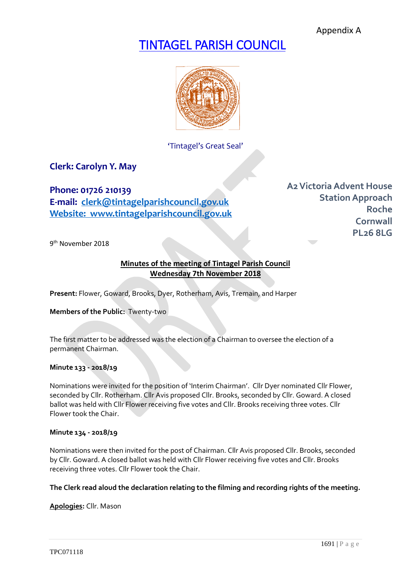Appendix A

# TINTAGEL PARISH COUNCIL



'Tintagel's Great Seal'

## **Clerk: Carolyn Y. May**

**Phone: 01726 210139 E-mail: [clerk@tintagelparishcouncil.gov.uk](mailto:clerk@tintagelparishcouncil.gov.uk) Website: www.tintagelparishcouncil.gov.uk** **A2Victoria Advent House Station Approach Roche Cornwall PL26 8LG**

9<sup>th</sup> November 2018

## **Minutes of the meeting of Tintagel Parish Council Wednesday 7th November 2018**

**Present:** Flower, Goward, Brooks, Dyer, Rotherham, Avis, Tremain, and Harper

**Members of the Public:** Twenty-two

The first matter to be addressed was the election of a Chairman to oversee the election of a permanent Chairman.

#### **Minute 133 - 2018/19**

Nominations were invited for the position of 'Interim Chairman'. Cllr Dyer nominated Cllr Flower, seconded by Cllr. Rotherham. Cllr Avis proposed Cllr. Brooks, seconded by Cllr. Goward. A closed ballot was held with Cllr Flower receiving five votes and Cllr. Brooks receiving three votes. Cllr Flower took the Chair.

#### **Minute 134 - 2018/19**

Nominations were then invited for the post of Chairman. Cllr Avis proposed Cllr. Brooks, seconded by Cllr. Goward. A closed ballot was held with Cllr Flower receiving five votes and Cllr. Brooks receiving three votes. Cllr Flower took the Chair.

## **The Clerk read aloud the declaration relating to the filming and recording rights of the meeting.**

**Apologies:** Cllr. Mason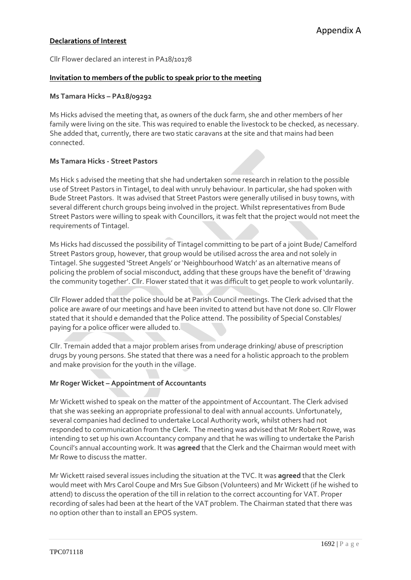# Appendix A

## **Declarations of Interest**

Cllr Flower declared an interest in PA18/10178

## **Invitation to members of the public to speak prior to the meeting**

## **Ms Tamara Hicks – PA18/09292**

Ms Hicks advised the meeting that, as owners of the duck farm, she and other members of her family were living on the site. This was required to enable the livestock to be checked, as necessary. She added that, currently, there are two static caravans at the site and that mains had been connected.

## **Ms Tamara Hicks - Street Pastors**

Ms Hick s advised the meeting that she had undertaken some research in relation to the possible use of Street Pastors in Tintagel, to deal with unruly behaviour. In particular, she had spoken with Bude Street Pastors. It was advised that Street Pastors were generally utilised in busy towns, with several different church groups being involved in the project. Whilst representatives from Bude Street Pastors were willing to speak with Councillors, it was felt that the project would not meet the requirements of Tintagel.

Ms Hicks had discussed the possibility of Tintagel committing to be part of a joint Bude/ Camelford Street Pastors group, however, that group would be utilised across the area and not solely in Tintagel. She suggested 'Street Angels' or 'Neighbourhood Watch' as an alternative means of policing the problem of social misconduct, adding that these groups have the benefit of 'drawing the community together'. Cllr. Flower stated that it was difficult to get people to work voluntarily.

Cllr Flower added that the police should be at Parish Council meetings. The Clerk advised that the police are aware of our meetings and have been invited to attend but have not done so. Cllr Flower stated that it should e demanded that the Police attend. The possibility of Special Constables/ paying for a police officer were alluded to.

Cllr. Tremain added that a major problem arises from underage drinking/ abuse of prescription drugs by young persons. She stated that there was a need for a holistic approach to the problem and make provision for the youth in the village.

## **Mr Roger Wicket – Appointment of Accountants**

Mr Wickett wished to speak on the matter of the appointment of Accountant. The Clerk advised that she was seeking an appropriate professional to deal with annual accounts. Unfortunately, several companies had declined to undertake Local Authority work, whilst others had not responded to communication from the Clerk. The meeting was advised that Mr Robert Rowe, was intending to set up his own Accountancy company and that he was willing to undertake the Parish Council's annual accounting work. It was **agreed** that the Clerk and the Chairman would meet with Mr Rowe to discuss the matter.

Mr Wickett raised several issues including the situation at the TVC. It was **agreed** that the Clerk would meet with Mrs Carol Coupe and Mrs Sue Gibson (Volunteers) and Mr Wickett (if he wished to attend) to discuss the operation of the till in relation to the correct accounting for VAT. Proper recording of sales had been at the heart of the VAT problem. The Chairman stated that there was no option other than to install an EPOS system.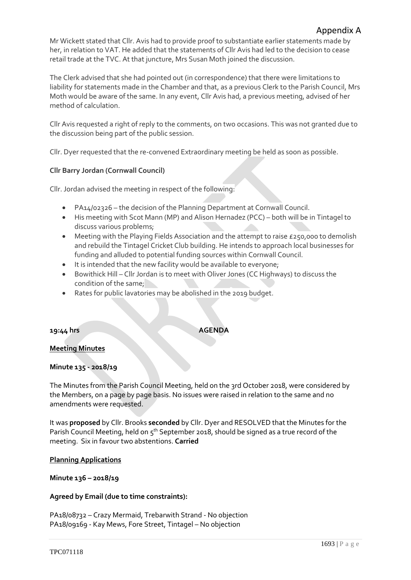Mr Wickett stated that Cllr. Avis had to provide proof to substantiate earlier statements made by her, in relation to VAT. He added that the statements of Cllr Avis had led to the decision to cease retail trade at the TVC. At that juncture, Mrs Susan Moth joined the discussion.

The Clerk advised that she had pointed out (in correspondence) that there were limitations to liability for statements made in the Chamber and that, as a previous Clerk to the Parish Council, Mrs Moth would be aware of the same. In any event, Cllr Avis had, a previous meeting, advised of her method of calculation.

Cllr Avis requested a right of reply to the comments, on two occasions. This was not granted due to the discussion being part of the public session.

Cllr. Dyer requested that the re-convened Extraordinary meeting be held as soon as possible.

## **Cllr Barry Jordan (Cornwall Council)**

Cllr. Jordan advised the meeting in respect of the following:

- PA14/02326 the decision of the Planning Department at Cornwall Council.
- His meeting with Scot Mann (MP) and Alison Hernadez (PCC) both will be in Tintagel to discuss various problems;
- Meeting with the Playing Fields Association and the attempt to raise £250,000 to demolish and rebuild the Tintagel Cricket Club building. He intends to approach local businesses for funding and alluded to potential funding sources within Cornwall Council.
- It is intended that the new facility would be available to everyone;
- Bowithick Hill Cllr Jordan is to meet with Oliver Jones (CC Highways) to discuss the condition of the same;
- Rates for public lavatories may be abolished in the 2019 budget.

## **19:44 hrs AGENDA**

**Meeting Minutes**

## **Minute 135 - 2018/19**

The Minutes from the Parish Council Meeting, held on the 3rd October 2018, were considered by the Members, on a page by page basis. No issues were raised in relation to the same and no amendments were requested.

It was **proposed** by Cllr. Brooks **seconded** by Cllr. Dyer and RESOLVED that the Minutes for the Parish Council Meeting, held on 5<sup>th</sup> September 2018, should be signed as a true record of the meeting. Six in favour two abstentions. **Carried**

## **Planning Applications**

## **Minute 136 – 2018/19**

## **Agreed by Email (due to time constraints):**

PA18/08732 – Crazy Mermaid, Trebarwith Strand - No objection PA18/09169 - Kay Mews, Fore Street, Tintagel – No objection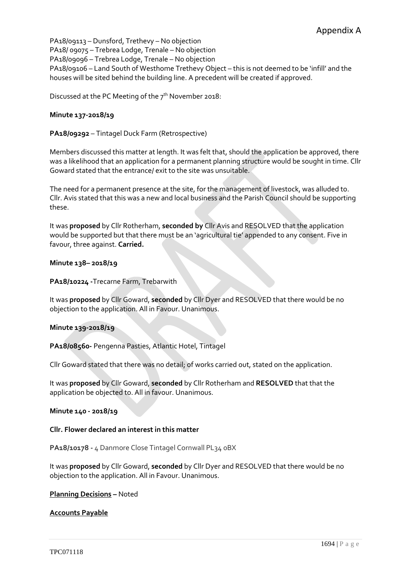PA18/09113 – Dunsford, Trethevy – No objection PA18/ 09075 – Trebrea Lodge, Trenale – No objection PA18/09096 – Trebrea Lodge, Trenale – No objection PA18/09106 – Land South of Westhome Trethevy Object – this is not deemed to be 'infill' and the houses will be sited behind the building line. A precedent will be created if approved.

Discussed at the PC Meeting of the 7<sup>th</sup> November 2018:

#### **Minute 137-2018/19**

**PA18/09292** – Tintagel Duck Farm (Retrospective)

Members discussed this matter at length. It was felt that, should the application be approved, there was a likelihood that an application for a permanent planning structure would be sought in time. Cllr Goward stated that the entrance/ exit to the site was unsuitable.

The need for a permanent presence at the site, for the management of livestock, was alluded to. Cllr. Avis stated that this was a new and local business and the Parish Council should be supporting these.

It was **proposed** by Cllr Rotherham, **seconded by** Cllr Avis and RESOLVED that the application would be supported but that there must be an 'agricultural tie' appended to any consent. Five in favour, three against. **Carried.**

#### **Minute 138– 2018/19**

#### **PA18/10224 -**Trecarne Farm, Trebarwith

It was **proposed** by Cllr Goward, **seconded** by Cllr Dyer and RESOLVED that there would be no objection to the application. All in Favour. Unanimous.

#### **Minute 139-2018/19**

**PA18/08560-** Pengenna Pasties, Atlantic Hotel, Tintagel

Cllr Goward stated that there was no detail; of works carried out, stated on the application.

It was **proposed** by Cllr Goward, **seconded** by Cllr Rotherham and **RESOLVED** that that the application be objected to. All in favour. Unanimous.

### **Minute 140 - 2018/19**

#### **Cllr. Flower declared an interest in this matter**

**PA18/10178 -** 4 Danmore Close Tintagel Cornwall PL34 0BX

It was **proposed** by Cllr Goward, **seconded** by Cllr Dyer and RESOLVED that there would be no objection to the application. All in Favour. Unanimous.

#### **Planning Decisions –** Noted

## **Accounts Payable**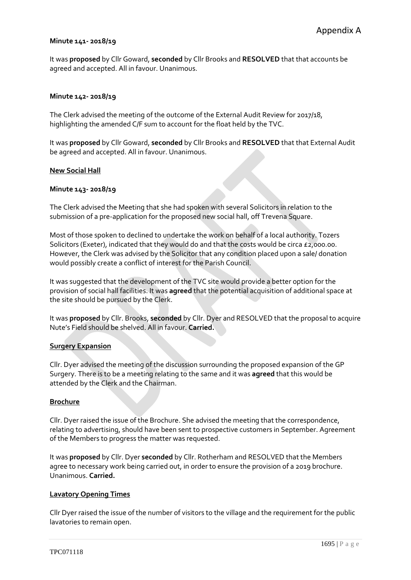#### **Minute 141- 2018/19**

It was **proposed** by Cllr Goward, **seconded** by Cllr Brooks and **RESOLVED** that that accounts be agreed and accepted. All in favour. Unanimous.

#### **Minute 142- 2018/19**

The Clerk advised the meeting of the outcome of the External Audit Review for 2017/18, highlighting the amended C/F sum to account for the float held by the TVC.

It was **proposed** by Cllr Goward, **seconded** by Cllr Brooks and **RESOLVED** that that External Audit be agreed and accepted. All in favour. Unanimous.

#### **New Social Hall**

#### **Minute 143- 2018/19**

The Clerk advised the Meeting that she had spoken with several Solicitors in relation to the submission of a pre-application for the proposed new social hall, off Trevena Square.

Most of those spoken to declined to undertake the work on behalf of a local authority. Tozers Solicitors (Exeter), indicated that they would do and that the costs would be circa £2,000.00. However, the Clerk was advised by the Solicitor that any condition placed upon a sale/ donation would possibly create a conflict of interest for the Parish Council.

It was suggested that the development of the TVC site would provide a better option for the provision of social hall facilities. It was **agreed** that the potential acquisition of additional space at the site should be pursued by the Clerk.

It was **proposed** by Cllr. Brooks, **seconded** by Cllr. Dyer and RESOLVED that the proposal to acquire Nute's Field should be shelved. All in favour. **Carried.**

#### **Surgery Expansion**

Cllr. Dyer advised the meeting of the discussion surrounding the proposed expansion of the GP Surgery. There is to be a meeting relating to the same and it was **agreed** that this would be attended by the Clerk and the Chairman.

#### **Brochure**

Cllr. Dyer raised the issue of the Brochure. She advised the meeting that the correspondence, relating to advertising, should have been sent to prospective customers in September. Agreement of the Members to progress the matter was requested.

It was **proposed** by Cllr. Dyer **seconded** by Cllr. Rotherham and RESOLVED that the Members agree to necessary work being carried out, in order to ensure the provision of a 2019 brochure. Unanimous. **Carried.**

#### **Lavatory Opening Times**

Cllr Dyer raised the issue of the number of visitors to the village and the requirement for the public lavatories to remain open.